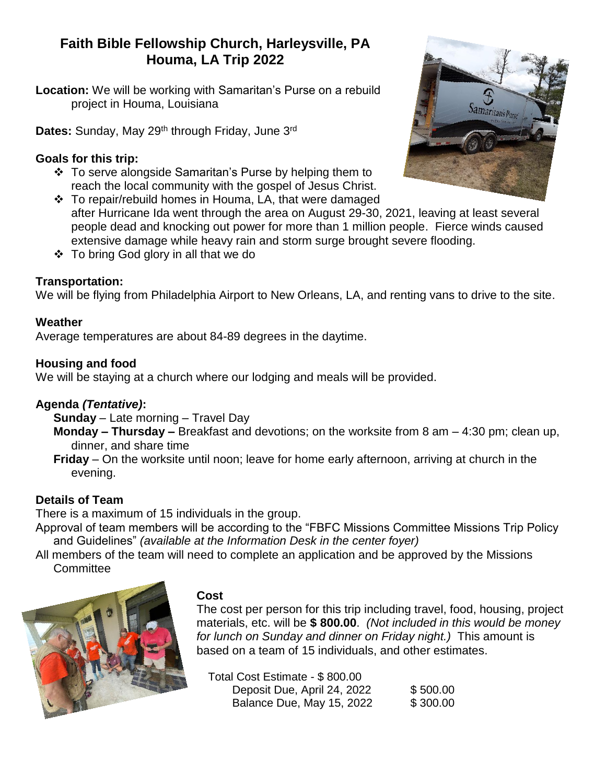# **Faith Bible Fellowship Church, Harleysville, PA Houma, LA Trip 2022**

**Location:** We will be working with Samaritan's Purse on a rebuild project in Houma, Louisiana

Dates: Sunday, May 29<sup>th</sup> through Friday, June 3<sup>rd</sup>

#### **Goals for this trip:**

- To serve alongside Samaritan's Purse by helping them to reach the local community with the gospel of Jesus Christ.
- To repair/rebuild homes in Houma, LA, that were damaged after Hurricane Ida went through the area on August 29-30, 2021, leaving at least several people dead and knocking out power for more than 1 million people. Fierce winds caused extensive damage while heavy rain and storm surge brought severe flooding.
- $\div$  To bring God glory in all that we do

## **Transportation:**

We will be flying from Philadelphia Airport to New Orleans, LA, and renting vans to drive to the site.

#### **Weather**

Average temperatures are about 84-89 degrees in the daytime.

#### **Housing and food**

We will be staying at a church where our lodging and meals will be provided.

## **Agenda** *(Tentative)***:**

**Sunday** – Late morning – Travel Day

**Monday – Thursday –** Breakfast and devotions; on the worksite from 8 am – 4:30 pm; clean up, dinner, and share time

**Friday** – On the worksite until noon; leave for home early afternoon, arriving at church in the evening.

## **Details of Team**

There is a maximum of 15 individuals in the group.

Approval of team members will be according to the "FBFC Missions Committee Missions Trip Policy and Guidelines" *(available at the Information Desk in the center foyer)*

All members of the team will need to complete an application and be approved by the Missions **Committee** 



#### **Cost**

The cost per person for this trip including travel, food, housing, project materials, etc. will be **\$ 800.00**. *(Not included in this would be money for lunch on Sunday and dinner on Friday night.)* This amount is based on a team of 15 individuals, and other estimates.

| Total Cost Estimate - \$800.00 |          |
|--------------------------------|----------|
| Deposit Due, April 24, 2022    | \$500.00 |
| Balance Due, May 15, 2022      | \$300.00 |

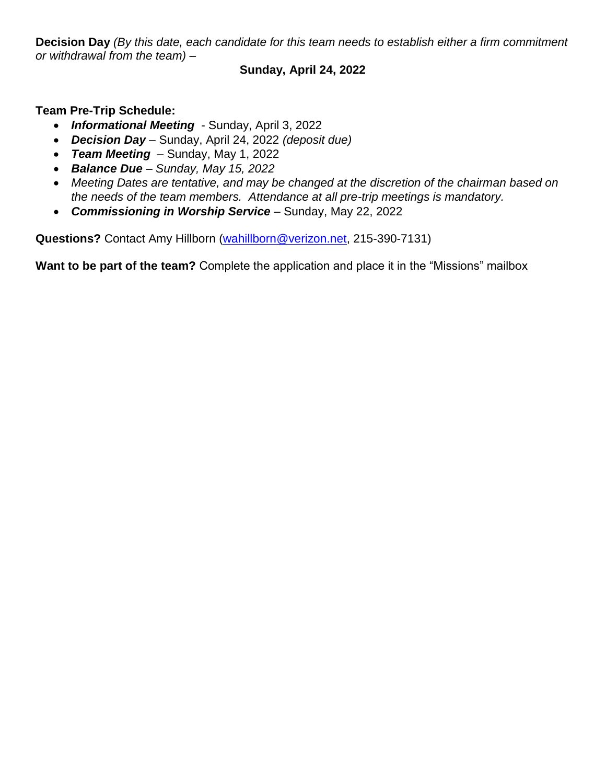**Decision Day** *(By this date, each candidate for this team needs to establish either a firm commitment or withdrawal from the team) –*

#### **Sunday, April 24, 2022**

**Team Pre-Trip Schedule:**

- *Informational Meeting* Sunday, April 3, 2022
- *Decision Day –* Sunday, April 24, 2022 *(deposit due)*
- *Team Meeting –* Sunday, May 1, 2022
- *Balance Due – Sunday, May 15, 2022*
- *Meeting Dates are tentative, and may be changed at the discretion of the chairman based on the needs of the team members. Attendance at all pre-trip meetings is mandatory.*
- *Commissioning in Worship Service* Sunday, May 22, 2022

**Questions?** Contact Amy Hillborn [\(wahillborn@verizon.net,](mailto:wahillborn@verizon.net) 215-390-7131)

**Want to be part of the team?** Complete the application and place it in the "Missions" mailbox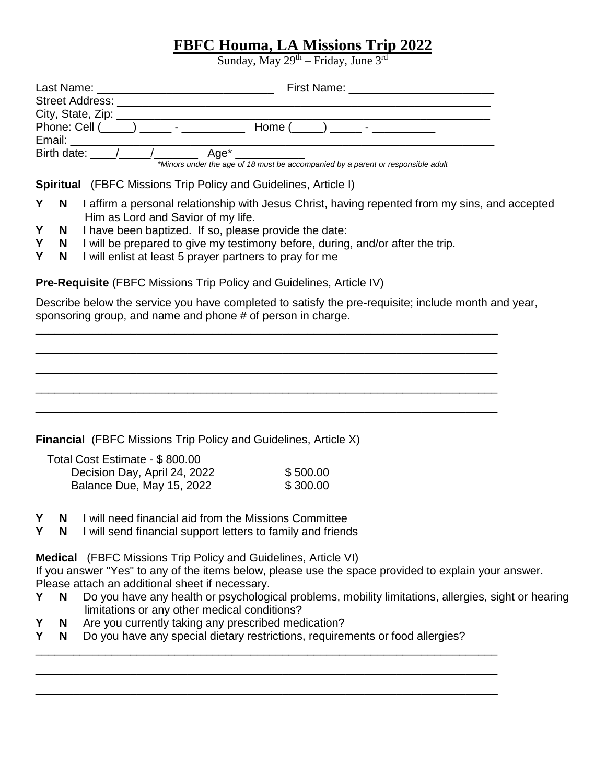# **FBFC Houma, LA Missions Trip 2022**

Sunday, May  $29<sup>th</sup> - Friday$ , June  $3<sup>rd</sup>$ 

|                             | First Name: <u>____________________</u>                                                                                                                                                                                                                     |  |  |  |
|-----------------------------|-------------------------------------------------------------------------------------------------------------------------------------------------------------------------------------------------------------------------------------------------------------|--|--|--|
| <b>Street Address:</b>      |                                                                                                                                                                                                                                                             |  |  |  |
| City, State, Zip: _________ |                                                                                                                                                                                                                                                             |  |  |  |
|                             | Phone: Cell ( ) - Thomas Cell ( ) and the set of the set of the set of the set of the set of the set of the set of the set of the set of the set of the set of the set of the set of the set of the set of the set of the set<br>Home $($ $)$ $)$ $      -$ |  |  |  |
| Email: __________________   |                                                                                                                                                                                                                                                             |  |  |  |
|                             | Birth date: $\angle$ / $\angle$ Age <sup>*</sup>                                                                                                                                                                                                            |  |  |  |
|                             | *Minors under the age of 18 must be accompanied by a parent or responsible adult                                                                                                                                                                            |  |  |  |

**Spiritual** (FBFC Missions Trip Policy and Guidelines, Article I)

- **Y N** I affirm a personal relationship with Jesus Christ, having repented from my sins, and accepted Him as Lord and Savior of my life.
- **Y N** I have been baptized. If so, please provide the date:
- **Y N** I will be prepared to give my testimony before, during, and/or after the trip.
- **Y N** I will enlist at least 5 prayer partners to pray for me

**Pre-Requisite** (FBFC Missions Trip Policy and Guidelines, Article IV)

Describe below the service you have completed to satisfy the pre-requisite; include month and year, sponsoring group, and name and phone # of person in charge.

\_\_\_\_\_\_\_\_\_\_\_\_\_\_\_\_\_\_\_\_\_\_\_\_\_\_\_\_\_\_\_\_\_\_\_\_\_\_\_\_\_\_\_\_\_\_\_\_\_\_\_\_\_\_\_\_\_\_\_\_\_\_\_\_\_\_\_\_\_\_\_\_\_ \_\_\_\_\_\_\_\_\_\_\_\_\_\_\_\_\_\_\_\_\_\_\_\_\_\_\_\_\_\_\_\_\_\_\_\_\_\_\_\_\_\_\_\_\_\_\_\_\_\_\_\_\_\_\_\_\_\_\_\_\_\_\_\_\_\_\_\_\_\_\_\_\_ \_\_\_\_\_\_\_\_\_\_\_\_\_\_\_\_\_\_\_\_\_\_\_\_\_\_\_\_\_\_\_\_\_\_\_\_\_\_\_\_\_\_\_\_\_\_\_\_\_\_\_\_\_\_\_\_\_\_\_\_\_\_\_\_\_\_\_\_\_\_\_\_\_ \_\_\_\_\_\_\_\_\_\_\_\_\_\_\_\_\_\_\_\_\_\_\_\_\_\_\_\_\_\_\_\_\_\_\_\_\_\_\_\_\_\_\_\_\_\_\_\_\_\_\_\_\_\_\_\_\_\_\_\_\_\_\_\_\_\_\_\_\_\_\_\_\_ \_\_\_\_\_\_\_\_\_\_\_\_\_\_\_\_\_\_\_\_\_\_\_\_\_\_\_\_\_\_\_\_\_\_\_\_\_\_\_\_\_\_\_\_\_\_\_\_\_\_\_\_\_\_\_\_\_\_\_\_\_\_\_\_\_\_\_\_\_\_\_\_\_

**Financial** (FBFC Missions Trip Policy and Guidelines, Article X)

| Total Cost Estimate - \$800.00 |          |
|--------------------------------|----------|
| Decision Day, April 24, 2022   | \$500.00 |
| Balance Due, May 15, 2022      | \$300.00 |

- **Y N** I will need financial aid from the Missions Committee
- **Y N** I will send financial support letters to family and friends

**Medical** (FBFC Missions Trip Policy and Guidelines, Article VI)

If you answer "Yes" to any of the items below, please use the space provided to explain your answer. Please attach an additional sheet if necessary.

- **Y N** Do you have any health or psychological problems, mobility limitations, allergies, sight or hearing limitations or any other medical conditions?
- **Y N** Are you currently taking any prescribed medication?
- **Y N** Do you have any special dietary restrictions, requirements or food allergies?

\_\_\_\_\_\_\_\_\_\_\_\_\_\_\_\_\_\_\_\_\_\_\_\_\_\_\_\_\_\_\_\_\_\_\_\_\_\_\_\_\_\_\_\_\_\_\_\_\_\_\_\_\_\_\_\_\_\_\_\_\_\_\_\_\_\_\_\_\_\_\_\_\_ \_\_\_\_\_\_\_\_\_\_\_\_\_\_\_\_\_\_\_\_\_\_\_\_\_\_\_\_\_\_\_\_\_\_\_\_\_\_\_\_\_\_\_\_\_\_\_\_\_\_\_\_\_\_\_\_\_\_\_\_\_\_\_\_\_\_\_\_\_\_\_\_\_ \_\_\_\_\_\_\_\_\_\_\_\_\_\_\_\_\_\_\_\_\_\_\_\_\_\_\_\_\_\_\_\_\_\_\_\_\_\_\_\_\_\_\_\_\_\_\_\_\_\_\_\_\_\_\_\_\_\_\_\_\_\_\_\_\_\_\_\_\_\_\_\_\_